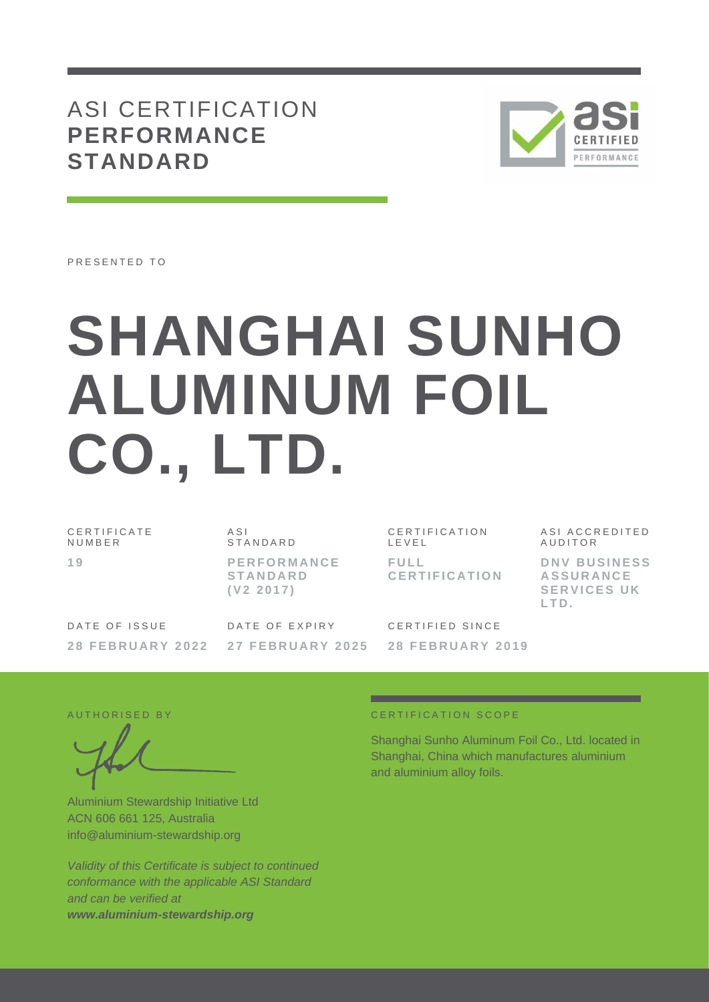ASI CERTIFICATION **PERFORMANCE STANDARD**



PRESENTED TO

# **SHANGHAI SUNHO ALUMINUM FOIL CO., LTD.**

C E R T I F I C A T E N U M B E R **1 9** A S I S T A N D A R D **P E R F O R M A N C E S T A N D A R D ( V 2 2 0 1 7 )** C E R T I F I C A T I O N  $I$   $F$   $V$   $F$   $I$ **F U L L C E R T I F I C A T I O N** A S I A C C R E D I T E D

DATE OF ISSUE **2 8 F E B R U A R Y 2 0 2 2** DATE OF EXPIRY **27 FE B R U A R Y 2 0 2 5** CERTIFIED SINCE **2 8 F E B R U A R Y 2 0 1 9**

**AUDITOR D N V B U S I N E S S A S S U R A N C E SERVICES UK L T D .**

Aluminium Stewardship Initiative Ltd ACN 606 661 125, Australia info@aluminium-stewardship.org

*Validity of this Certificate is subject to continued conformance with the applicable ASI Standard and can be verified at www.aluminium-stewardship.org*

#### A UT HORISED BY CERTIFICATION SCOPE

Shanghai Sunho Aluminum Foil Co., Ltd. located in Shanghai, China which manufactures aluminium and aluminium alloy foils.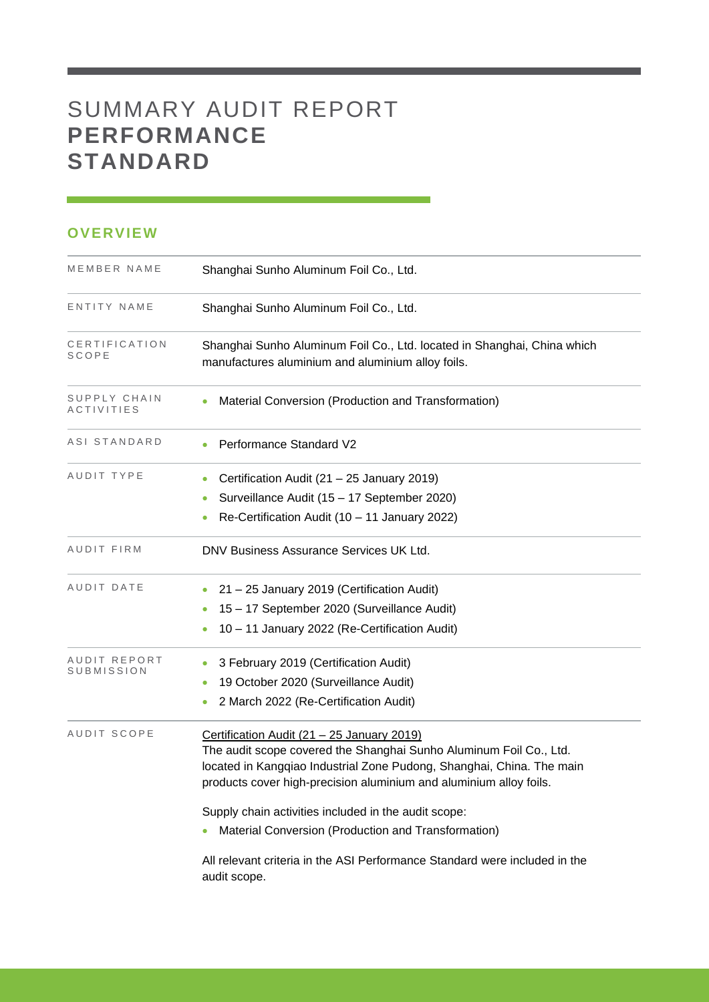## SUMMARY AUDIT REPORT **PERFORMANCE STANDARD**

#### **OVERVIEW**

| MEMBER NAME                | Shanghai Sunho Aluminum Foil Co., Ltd.                                                                                                                                                                                                                                                                                                                                                                                                                       |
|----------------------------|--------------------------------------------------------------------------------------------------------------------------------------------------------------------------------------------------------------------------------------------------------------------------------------------------------------------------------------------------------------------------------------------------------------------------------------------------------------|
| ENTITY NAME                | Shanghai Sunho Aluminum Foil Co., Ltd.                                                                                                                                                                                                                                                                                                                                                                                                                       |
| CERTIFICATION<br>SCOPE     | Shanghai Sunho Aluminum Foil Co., Ltd. located in Shanghai, China which<br>manufactures aluminium and aluminium alloy foils.                                                                                                                                                                                                                                                                                                                                 |
| SUPPLY CHAIN<br>ACTIVITIES | Material Conversion (Production and Transformation)                                                                                                                                                                                                                                                                                                                                                                                                          |
| ASI STANDARD               | Performance Standard V2                                                                                                                                                                                                                                                                                                                                                                                                                                      |
| AUDIT TYPE                 | Certification Audit (21 - 25 January 2019)<br>0                                                                                                                                                                                                                                                                                                                                                                                                              |
|                            | Surveillance Audit (15 - 17 September 2020)<br>$\bullet$                                                                                                                                                                                                                                                                                                                                                                                                     |
|                            | Re-Certification Audit (10 - 11 January 2022)                                                                                                                                                                                                                                                                                                                                                                                                                |
| AUDIT FIRM                 | DNV Business Assurance Services UK Ltd.                                                                                                                                                                                                                                                                                                                                                                                                                      |
| AUDIT DATE                 | 21 - 25 January 2019 (Certification Audit)                                                                                                                                                                                                                                                                                                                                                                                                                   |
|                            | 15 - 17 September 2020 (Surveillance Audit)                                                                                                                                                                                                                                                                                                                                                                                                                  |
|                            | 10 - 11 January 2022 (Re-Certification Audit)                                                                                                                                                                                                                                                                                                                                                                                                                |
| AUDIT REPORT<br>SUBMISSION | 3 February 2019 (Certification Audit)                                                                                                                                                                                                                                                                                                                                                                                                                        |
|                            | 19 October 2020 (Surveillance Audit)<br>0                                                                                                                                                                                                                                                                                                                                                                                                                    |
|                            | 2 March 2022 (Re-Certification Audit)                                                                                                                                                                                                                                                                                                                                                                                                                        |
| AUDIT SCOPE                | Certification Audit (21 - 25 January 2019)<br>The audit scope covered the Shanghai Sunho Aluminum Foil Co., Ltd.<br>located in Kangqiao Industrial Zone Pudong, Shanghai, China. The main<br>products cover high-precision aluminium and aluminium alloy foils.<br>Supply chain activities included in the audit scope:<br>Material Conversion (Production and Transformation)<br>All relevant criteria in the ASI Performance Standard were included in the |
|                            | audit scope.                                                                                                                                                                                                                                                                                                                                                                                                                                                 |

<u> 1989 - Johann Barnett, mars et al. 1989 - Anna ann an t-</u>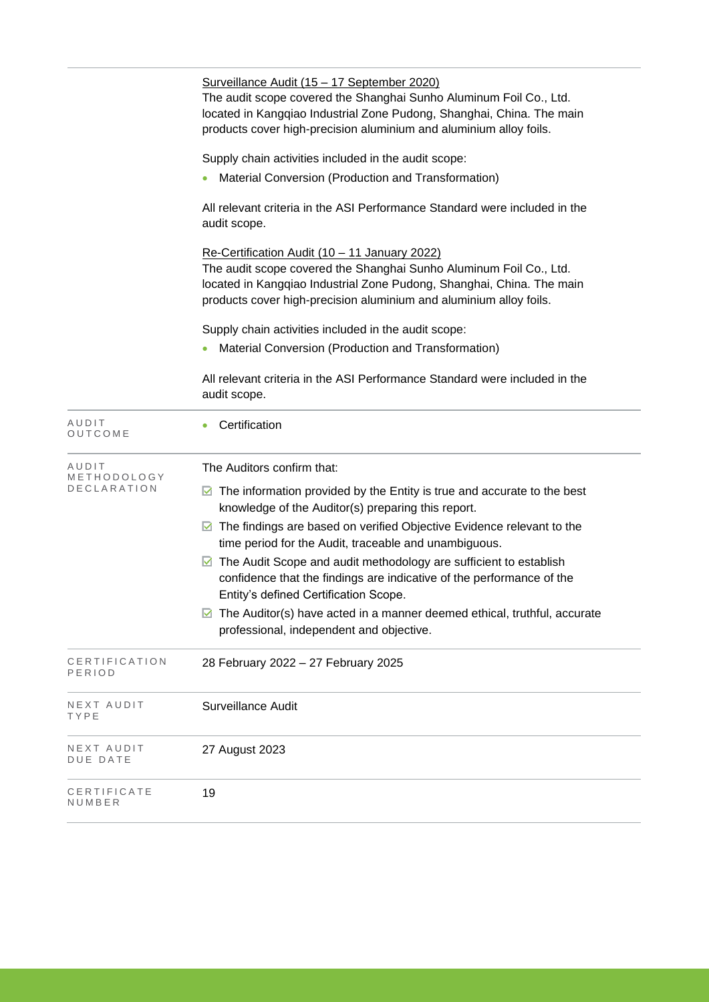|                         | Surveillance Audit (15 - 17 September 2020)<br>The audit scope covered the Shanghai Sunho Aluminum Foil Co., Ltd.<br>located in Kangqiao Industrial Zone Pudong, Shanghai, China. The main<br>products cover high-precision aluminium and aluminium alloy foils.   |  |  |  |  |
|-------------------------|--------------------------------------------------------------------------------------------------------------------------------------------------------------------------------------------------------------------------------------------------------------------|--|--|--|--|
|                         | Supply chain activities included in the audit scope:<br>Material Conversion (Production and Transformation)                                                                                                                                                        |  |  |  |  |
|                         | All relevant criteria in the ASI Performance Standard were included in the<br>audit scope.                                                                                                                                                                         |  |  |  |  |
|                         | Re-Certification Audit (10 - 11 January 2022)<br>The audit scope covered the Shanghai Sunho Aluminum Foil Co., Ltd.<br>located in Kangqiao Industrial Zone Pudong, Shanghai, China. The main<br>products cover high-precision aluminium and aluminium alloy foils. |  |  |  |  |
|                         | Supply chain activities included in the audit scope:                                                                                                                                                                                                               |  |  |  |  |
|                         | Material Conversion (Production and Transformation)                                                                                                                                                                                                                |  |  |  |  |
|                         | All relevant criteria in the ASI Performance Standard were included in the<br>audit scope.                                                                                                                                                                         |  |  |  |  |
| AUDIT<br>OUTCOME        | Certification                                                                                                                                                                                                                                                      |  |  |  |  |
| AUDIT<br>METHODOLOGY    | The Auditors confirm that:                                                                                                                                                                                                                                         |  |  |  |  |
| DECLARATION             | $\triangleright$ The information provided by the Entity is true and accurate to the best<br>knowledge of the Auditor(s) preparing this report.                                                                                                                     |  |  |  |  |
|                         | $\triangleright$ The findings are based on verified Objective Evidence relevant to the<br>time period for the Audit, traceable and unambiguous.                                                                                                                    |  |  |  |  |
|                         | The Audit Scope and audit methodology are sufficient to establish<br>M<br>confidence that the findings are indicative of the performance of the<br>Entity's defined Certification Scope.                                                                           |  |  |  |  |
|                         | The Auditor(s) have acted in a manner deemed ethical, truthful, accurate<br>professional, independent and objective.                                                                                                                                               |  |  |  |  |
| CERTIFICATION<br>PERIOD | 28 February 2022 - 27 February 2025                                                                                                                                                                                                                                |  |  |  |  |
| NEXT AUDIT<br>TYPE      | <b>Surveillance Audit</b>                                                                                                                                                                                                                                          |  |  |  |  |
| NEXT AUDIT<br>DUE DATE  | 27 August 2023                                                                                                                                                                                                                                                     |  |  |  |  |
| CERTIFICATE<br>NUMBER   | 19                                                                                                                                                                                                                                                                 |  |  |  |  |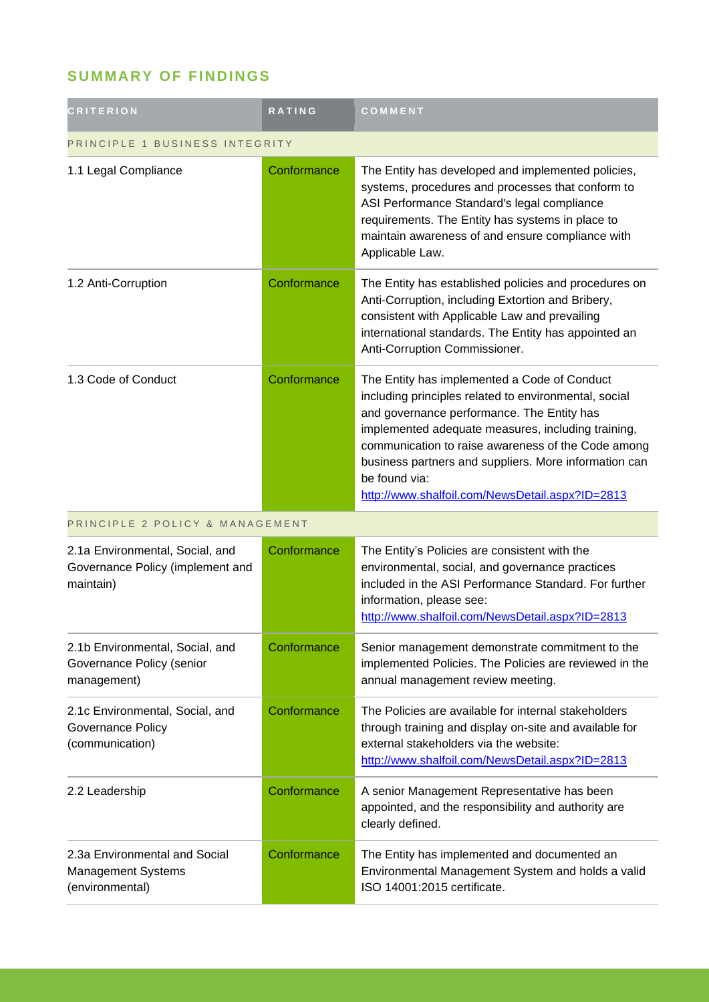### **SUMMARY OF FINDINGS**

| <b>CRITERION</b>                                                                 | <b>RATING</b> | COMMENT                                                                                                                                                                                                                                                                                                                                                                                      |
|----------------------------------------------------------------------------------|---------------|----------------------------------------------------------------------------------------------------------------------------------------------------------------------------------------------------------------------------------------------------------------------------------------------------------------------------------------------------------------------------------------------|
| PRINCIPLE 1 BUSINESS INTEGRITY                                                   |               |                                                                                                                                                                                                                                                                                                                                                                                              |
| 1.1 Legal Compliance                                                             | Conformance   | The Entity has developed and implemented policies,<br>systems, procedures and processes that conform to<br>ASI Performance Standard's legal compliance<br>requirements. The Entity has systems in place to<br>maintain awareness of and ensure compliance with<br>Applicable Law.                                                                                                            |
| 1.2 Anti-Corruption                                                              | Conformance   | The Entity has established policies and procedures on<br>Anti-Corruption, including Extortion and Bribery,<br>consistent with Applicable Law and prevailing<br>international standards. The Entity has appointed an<br>Anti-Corruption Commissioner.                                                                                                                                         |
| 1.3 Code of Conduct                                                              | Conformance   | The Entity has implemented a Code of Conduct<br>including principles related to environmental, social<br>and governance performance. The Entity has<br>implemented adequate measures, including training,<br>communication to raise awareness of the Code among<br>business partners and suppliers. More information can<br>be found via:<br>http://www.shalfoil.com/NewsDetail.aspx?ID=2813 |
| PRINCIPLE 2 POLICY & MANAGEMENT                                                  |               |                                                                                                                                                                                                                                                                                                                                                                                              |
| 2.1a Environmental, Social, and<br>Governance Policy (implement and<br>maintain) | Conformance   | The Entity's Policies are consistent with the<br>environmental, social, and governance practices<br>included in the ASI Performance Standard. For further<br>information, please see:<br>http://www.shalfoil.com/NewsDetail.aspx?ID=2813                                                                                                                                                     |
| 2.1b Environmental, Social, and<br>Governance Policy (senior<br>management)      | Conformance   | Senior management demonstrate commitment to the<br>implemented Policies. The Policies are reviewed in the<br>annual management review meeting.                                                                                                                                                                                                                                               |
| 2.1c Environmental, Social, and<br>Governance Policy<br>(communication)          | Conformance   | The Policies are available for internal stakeholders<br>through training and display on-site and available for<br>external stakeholders via the website:<br>http://www.shalfoil.com/NewsDetail.aspx?ID=2813                                                                                                                                                                                  |
| 2.2 Leadership                                                                   | Conformance   | A senior Management Representative has been<br>appointed, and the responsibility and authority are<br>clearly defined.                                                                                                                                                                                                                                                                       |
| 2.3a Environmental and Social<br><b>Management Systems</b><br>(environmental)    | Conformance   | The Entity has implemented and documented an<br>Environmental Management System and holds a valid<br>ISO 14001:2015 certificate.                                                                                                                                                                                                                                                             |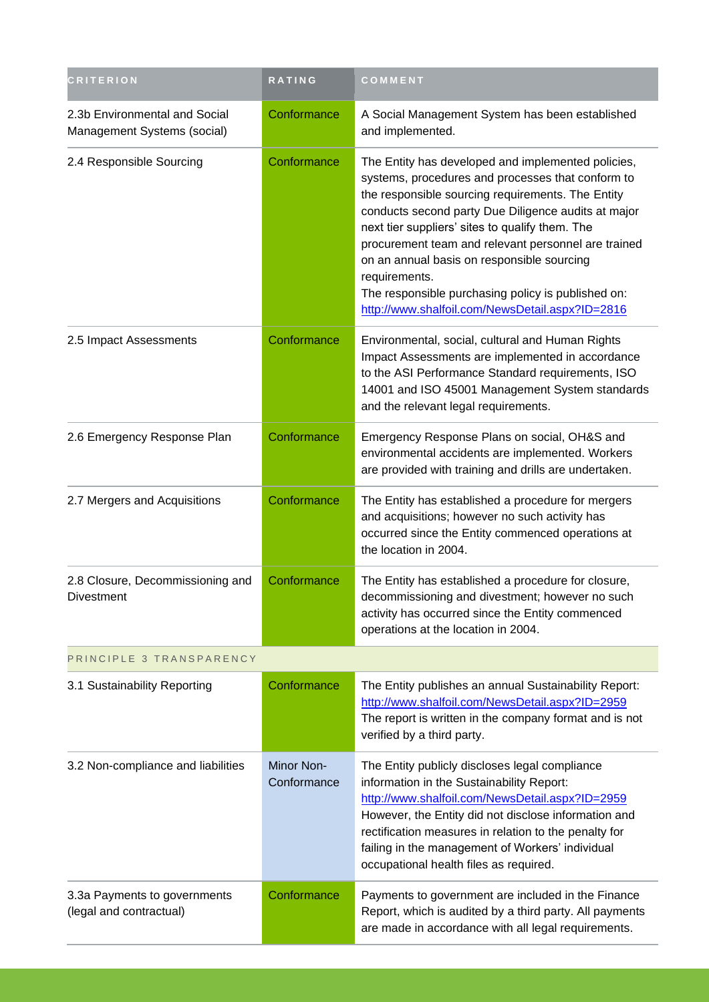| <b>CRITERION</b>                                             | RATING                    | COMMENT                                                                                                                                                                                                                                                                                                                                                                                                                                                                                               |  |
|--------------------------------------------------------------|---------------------------|-------------------------------------------------------------------------------------------------------------------------------------------------------------------------------------------------------------------------------------------------------------------------------------------------------------------------------------------------------------------------------------------------------------------------------------------------------------------------------------------------------|--|
| 2.3b Environmental and Social<br>Management Systems (social) | Conformance               | A Social Management System has been established<br>and implemented.                                                                                                                                                                                                                                                                                                                                                                                                                                   |  |
| 2.4 Responsible Sourcing                                     | Conformance               | The Entity has developed and implemented policies,<br>systems, procedures and processes that conform to<br>the responsible sourcing requirements. The Entity<br>conducts second party Due Diligence audits at major<br>next tier suppliers' sites to qualify them. The<br>procurement team and relevant personnel are trained<br>on an annual basis on responsible sourcing<br>requirements.<br>The responsible purchasing policy is published on:<br>http://www.shalfoil.com/NewsDetail.aspx?ID=2816 |  |
| 2.5 Impact Assessments                                       | Conformance               | Environmental, social, cultural and Human Rights<br>Impact Assessments are implemented in accordance<br>to the ASI Performance Standard requirements, ISO<br>14001 and ISO 45001 Management System standards<br>and the relevant legal requirements.                                                                                                                                                                                                                                                  |  |
| 2.6 Emergency Response Plan                                  | Conformance               | Emergency Response Plans on social, OH&S and<br>environmental accidents are implemented. Workers<br>are provided with training and drills are undertaken.                                                                                                                                                                                                                                                                                                                                             |  |
| 2.7 Mergers and Acquisitions                                 | Conformance               | The Entity has established a procedure for mergers<br>and acquisitions; however no such activity has<br>occurred since the Entity commenced operations at<br>the location in 2004.                                                                                                                                                                                                                                                                                                                    |  |
| 2.8 Closure, Decommissioning and<br>Divestment               | Conformance               | The Entity has established a procedure for closure,<br>decommissioning and divestment; however no such<br>activity has occurred since the Entity commenced<br>operations at the location in 2004.                                                                                                                                                                                                                                                                                                     |  |
| PRINCIPLE 3 TRANSPARENCY                                     |                           |                                                                                                                                                                                                                                                                                                                                                                                                                                                                                                       |  |
| 3.1 Sustainability Reporting                                 | Conformance               | The Entity publishes an annual Sustainability Report:<br>http://www.shalfoil.com/NewsDetail.aspx?ID=2959<br>The report is written in the company format and is not<br>verified by a third party.                                                                                                                                                                                                                                                                                                      |  |
| 3.2 Non-compliance and liabilities                           | Minor Non-<br>Conformance | The Entity publicly discloses legal compliance<br>information in the Sustainability Report:<br>http://www.shalfoil.com/NewsDetail.aspx?ID=2959<br>However, the Entity did not disclose information and<br>rectification measures in relation to the penalty for<br>failing in the management of Workers' individual<br>occupational health files as required.                                                                                                                                         |  |
| 3.3a Payments to governments<br>(legal and contractual)      | Conformance               | Payments to government are included in the Finance<br>Report, which is audited by a third party. All payments<br>are made in accordance with all legal requirements.                                                                                                                                                                                                                                                                                                                                  |  |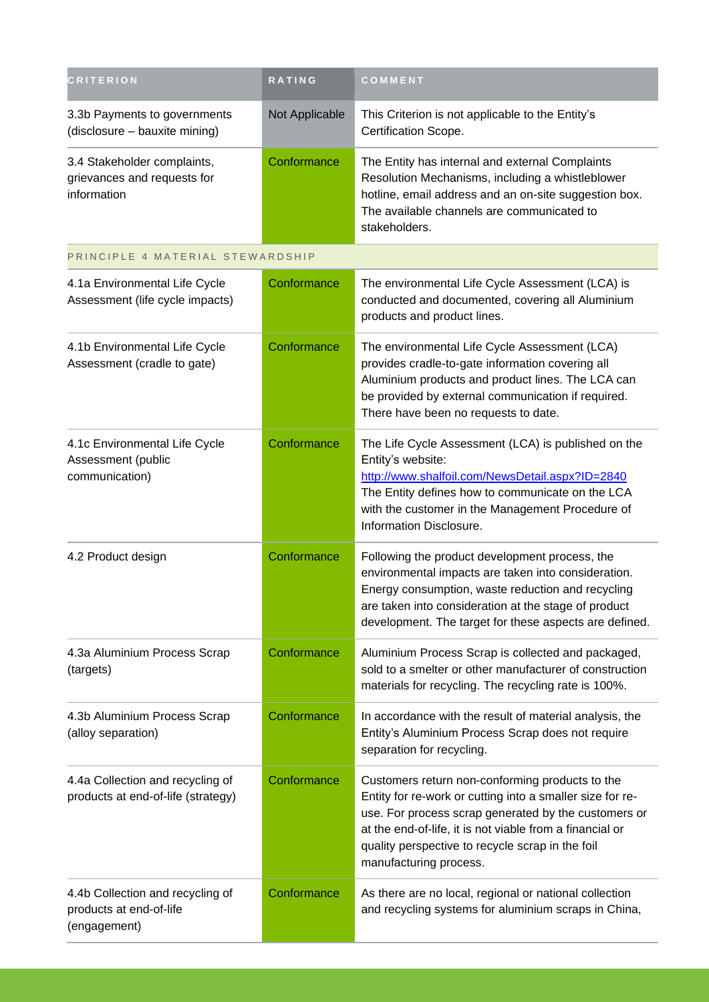| <b>CRITERION</b>                                                            | RATING         | COMMENT                                                                                                                                                                                                                                                                                                        |
|-----------------------------------------------------------------------------|----------------|----------------------------------------------------------------------------------------------------------------------------------------------------------------------------------------------------------------------------------------------------------------------------------------------------------------|
| 3.3b Payments to governments<br>(disclosure - bauxite mining)               | Not Applicable | This Criterion is not applicable to the Entity's<br>Certification Scope.                                                                                                                                                                                                                                       |
| 3.4 Stakeholder complaints,<br>grievances and requests for<br>information   | Conformance    | The Entity has internal and external Complaints<br>Resolution Mechanisms, including a whistleblower<br>hotline, email address and an on-site suggestion box.<br>The available channels are communicated to<br>stakeholders.                                                                                    |
| PRINCIPLE 4 MATERIAL STEWARDSHIP                                            |                |                                                                                                                                                                                                                                                                                                                |
| 4.1a Environmental Life Cycle<br>Assessment (life cycle impacts)            | Conformance    | The environmental Life Cycle Assessment (LCA) is<br>conducted and documented, covering all Aluminium<br>products and product lines.                                                                                                                                                                            |
| 4.1b Environmental Life Cycle<br>Assessment (cradle to gate)                | Conformance    | The environmental Life Cycle Assessment (LCA)<br>provides cradle-to-gate information covering all<br>Aluminium products and product lines. The LCA can<br>be provided by external communication if required.<br>There have been no requests to date.                                                           |
| 4.1c Environmental Life Cycle<br>Assessment (public<br>communication)       | Conformance    | The Life Cycle Assessment (LCA) is published on the<br>Entity's website:<br>http://www.shalfoil.com/NewsDetail.aspx?ID=2840<br>The Entity defines how to communicate on the LCA<br>with the customer in the Management Procedure of<br>Information Disclosure.                                                 |
| 4.2 Product design                                                          | Conformance    | Following the product development process, the<br>environmental impacts are taken into consideration.<br>Energy consumption, waste reduction and recycling<br>are taken into consideration at the stage of product<br>development. The target for these aspects are defined.                                   |
| 4.3a Aluminium Process Scrap<br>(targets)                                   | Conformance    | Aluminium Process Scrap is collected and packaged,<br>sold to a smelter or other manufacturer of construction<br>materials for recycling. The recycling rate is 100%.                                                                                                                                          |
| 4.3b Aluminium Process Scrap<br>(alloy separation)                          | Conformance    | In accordance with the result of material analysis, the<br>Entity's Aluminium Process Scrap does not require<br>separation for recycling.                                                                                                                                                                      |
| 4.4a Collection and recycling of<br>products at end-of-life (strategy)      | Conformance    | Customers return non-conforming products to the<br>Entity for re-work or cutting into a smaller size for re-<br>use. For process scrap generated by the customers or<br>at the end-of-life, it is not viable from a financial or<br>quality perspective to recycle scrap in the foil<br>manufacturing process. |
| 4.4b Collection and recycling of<br>products at end-of-life<br>(engagement) | Conformance    | As there are no local, regional or national collection<br>and recycling systems for aluminium scraps in China,                                                                                                                                                                                                 |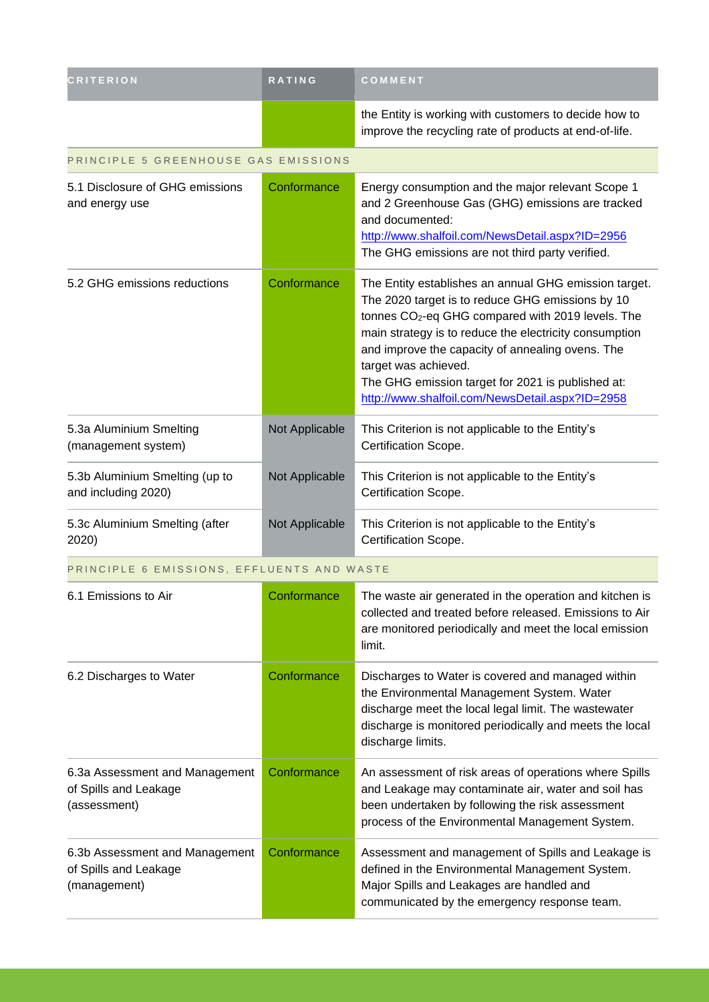| <b>CRITERION</b>                                                        | RATING         | COMMENT                                                                                                                                                                                                                                                                                                                                                                                                                  |  |
|-------------------------------------------------------------------------|----------------|--------------------------------------------------------------------------------------------------------------------------------------------------------------------------------------------------------------------------------------------------------------------------------------------------------------------------------------------------------------------------------------------------------------------------|--|
|                                                                         |                | the Entity is working with customers to decide how to<br>improve the recycling rate of products at end-of-life.                                                                                                                                                                                                                                                                                                          |  |
| PRINCIPLE 5 GREENHOUSE GAS EMISSIONS                                    |                |                                                                                                                                                                                                                                                                                                                                                                                                                          |  |
| 5.1 Disclosure of GHG emissions<br>and energy use                       | Conformance    | Energy consumption and the major relevant Scope 1<br>and 2 Greenhouse Gas (GHG) emissions are tracked<br>and documented:<br>http://www.shalfoil.com/NewsDetail.aspx?ID=2956<br>The GHG emissions are not third party verified.                                                                                                                                                                                           |  |
| 5.2 GHG emissions reductions                                            | Conformance    | The Entity establishes an annual GHG emission target.<br>The 2020 target is to reduce GHG emissions by 10<br>tonnes CO <sub>2</sub> -eq GHG compared with 2019 levels. The<br>main strategy is to reduce the electricity consumption<br>and improve the capacity of annealing ovens. The<br>target was achieved.<br>The GHG emission target for 2021 is published at:<br>http://www.shalfoil.com/NewsDetail.aspx?ID=2958 |  |
| 5.3a Aluminium Smelting<br>(management system)                          | Not Applicable | This Criterion is not applicable to the Entity's<br>Certification Scope.                                                                                                                                                                                                                                                                                                                                                 |  |
| 5.3b Aluminium Smelting (up to<br>and including 2020)                   | Not Applicable | This Criterion is not applicable to the Entity's<br>Certification Scope.                                                                                                                                                                                                                                                                                                                                                 |  |
| 5.3c Aluminium Smelting (after<br>2020)                                 | Not Applicable | This Criterion is not applicable to the Entity's<br>Certification Scope.                                                                                                                                                                                                                                                                                                                                                 |  |
| PRINCIPLE 6 EMISSIONS, EFFLUENTS AND WASTE                              |                |                                                                                                                                                                                                                                                                                                                                                                                                                          |  |
| 6.1 Emissions to Air                                                    | Conformance    | The waste air generated in the operation and kitchen is<br>collected and treated before released. Emissions to Air<br>are monitored periodically and meet the local emission<br>limit.                                                                                                                                                                                                                                   |  |
| 6.2 Discharges to Water                                                 | Conformance    | Discharges to Water is covered and managed within<br>the Environmental Management System. Water<br>discharge meet the local legal limit. The wastewater<br>discharge is monitored periodically and meets the local<br>discharge limits.                                                                                                                                                                                  |  |
| 6.3a Assessment and Management<br>of Spills and Leakage<br>(assessment) | Conformance    | An assessment of risk areas of operations where Spills<br>and Leakage may contaminate air, water and soil has<br>been undertaken by following the risk assessment<br>process of the Environmental Management System.                                                                                                                                                                                                     |  |
| 6.3b Assessment and Management<br>of Spills and Leakage<br>(management) | Conformance    | Assessment and management of Spills and Leakage is<br>defined in the Environmental Management System.<br>Major Spills and Leakages are handled and<br>communicated by the emergency response team.                                                                                                                                                                                                                       |  |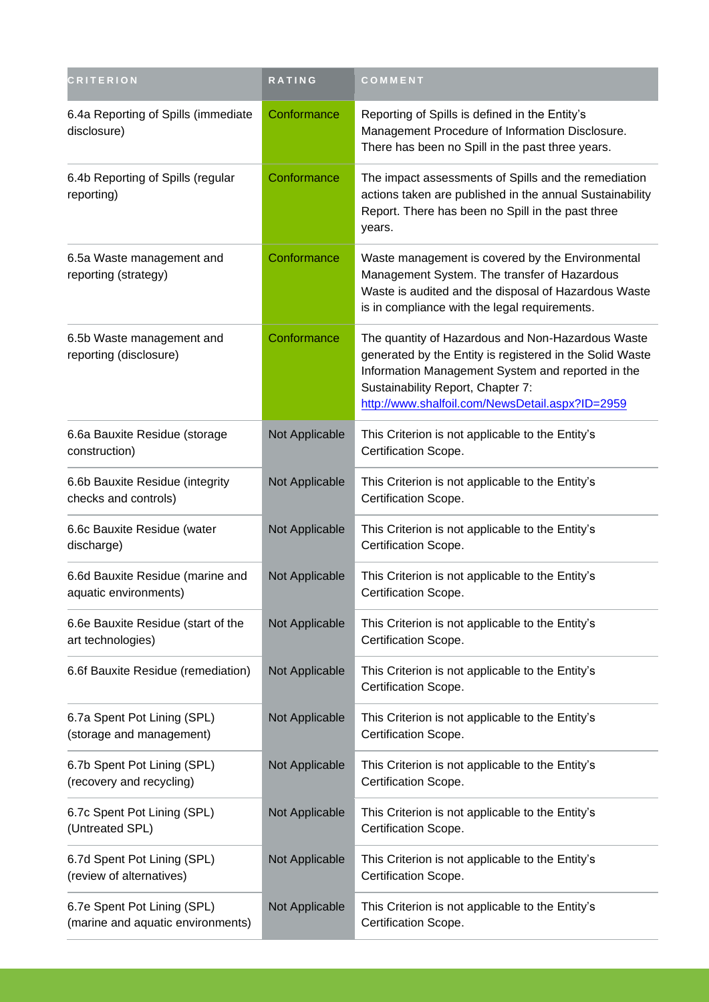| <b>CRITERION</b>                                                 | <b>RATING</b>  | COMMENT                                                                                                                                                                                                                                                    |
|------------------------------------------------------------------|----------------|------------------------------------------------------------------------------------------------------------------------------------------------------------------------------------------------------------------------------------------------------------|
| 6.4a Reporting of Spills (immediate<br>disclosure)               | Conformance    | Reporting of Spills is defined in the Entity's<br>Management Procedure of Information Disclosure.<br>There has been no Spill in the past three years.                                                                                                      |
| 6.4b Reporting of Spills (regular<br>reporting)                  | Conformance    | The impact assessments of Spills and the remediation<br>actions taken are published in the annual Sustainability<br>Report. There has been no Spill in the past three<br>years.                                                                            |
| 6.5a Waste management and<br>reporting (strategy)                | Conformance    | Waste management is covered by the Environmental<br>Management System. The transfer of Hazardous<br>Waste is audited and the disposal of Hazardous Waste<br>is in compliance with the legal requirements.                                                  |
| 6.5b Waste management and<br>reporting (disclosure)              | Conformance    | The quantity of Hazardous and Non-Hazardous Waste<br>generated by the Entity is registered in the Solid Waste<br>Information Management System and reported in the<br>Sustainability Report, Chapter 7:<br>http://www.shalfoil.com/NewsDetail.aspx?ID=2959 |
| 6.6a Bauxite Residue (storage<br>construction)                   | Not Applicable | This Criterion is not applicable to the Entity's<br>Certification Scope.                                                                                                                                                                                   |
| 6.6b Bauxite Residue (integrity<br>checks and controls)          | Not Applicable | This Criterion is not applicable to the Entity's<br>Certification Scope.                                                                                                                                                                                   |
| 6.6c Bauxite Residue (water<br>discharge)                        | Not Applicable | This Criterion is not applicable to the Entity's<br>Certification Scope.                                                                                                                                                                                   |
| 6.6d Bauxite Residue (marine and<br>aquatic environments)        | Not Applicable | This Criterion is not applicable to the Entity's<br>Certification Scope.                                                                                                                                                                                   |
| 6.6e Bauxite Residue (start of the<br>art technologies)          | Not Applicable | This Criterion is not applicable to the Entity's<br>Certification Scope.                                                                                                                                                                                   |
| 6.6f Bauxite Residue (remediation)                               | Not Applicable | This Criterion is not applicable to the Entity's<br>Certification Scope.                                                                                                                                                                                   |
| 6.7a Spent Pot Lining (SPL)<br>(storage and management)          | Not Applicable | This Criterion is not applicable to the Entity's<br>Certification Scope.                                                                                                                                                                                   |
| 6.7b Spent Pot Lining (SPL)<br>(recovery and recycling)          | Not Applicable | This Criterion is not applicable to the Entity's<br>Certification Scope.                                                                                                                                                                                   |
| 6.7c Spent Pot Lining (SPL)<br>(Untreated SPL)                   | Not Applicable | This Criterion is not applicable to the Entity's<br>Certification Scope.                                                                                                                                                                                   |
| 6.7d Spent Pot Lining (SPL)<br>(review of alternatives)          | Not Applicable | This Criterion is not applicable to the Entity's<br>Certification Scope.                                                                                                                                                                                   |
| 6.7e Spent Pot Lining (SPL)<br>(marine and aquatic environments) | Not Applicable | This Criterion is not applicable to the Entity's<br>Certification Scope.                                                                                                                                                                                   |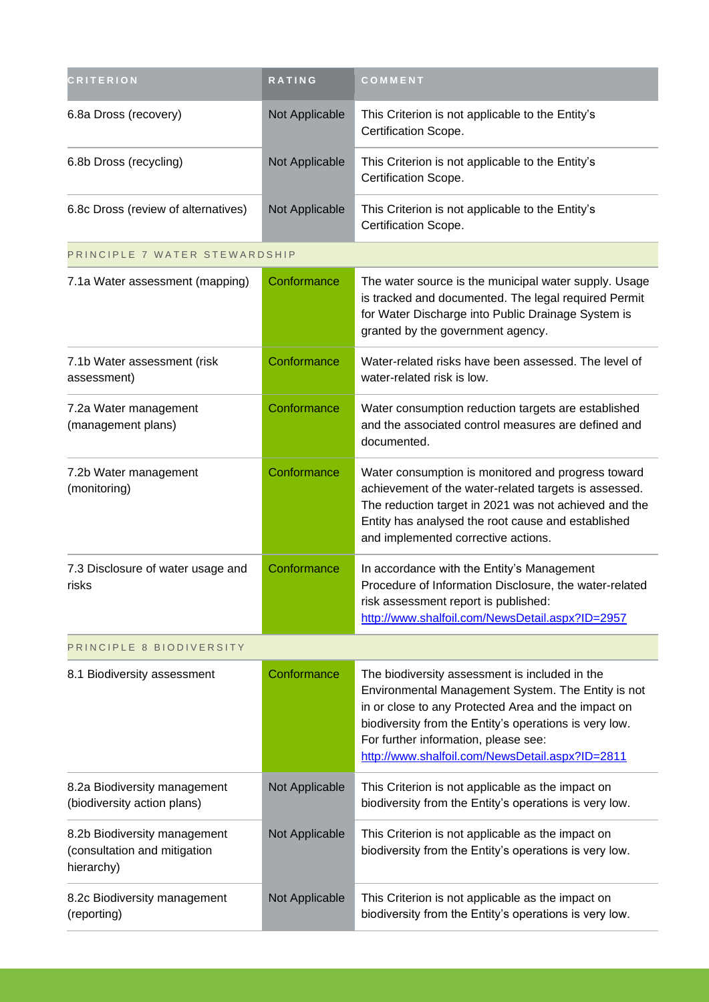| <b>CRITERION</b>                                                           | RATING         | COMMENT                                                                                                                                                                                                                                                                                                          |
|----------------------------------------------------------------------------|----------------|------------------------------------------------------------------------------------------------------------------------------------------------------------------------------------------------------------------------------------------------------------------------------------------------------------------|
| 6.8a Dross (recovery)                                                      | Not Applicable | This Criterion is not applicable to the Entity's<br>Certification Scope.                                                                                                                                                                                                                                         |
| 6.8b Dross (recycling)                                                     | Not Applicable | This Criterion is not applicable to the Entity's<br>Certification Scope.                                                                                                                                                                                                                                         |
| 6.8c Dross (review of alternatives)                                        | Not Applicable | This Criterion is not applicable to the Entity's<br>Certification Scope.                                                                                                                                                                                                                                         |
| PRINCIPLE 7 WATER STEWARDSHIP                                              |                |                                                                                                                                                                                                                                                                                                                  |
| 7.1a Water assessment (mapping)                                            | Conformance    | The water source is the municipal water supply. Usage<br>is tracked and documented. The legal required Permit<br>for Water Discharge into Public Drainage System is<br>granted by the government agency.                                                                                                         |
| 7.1b Water assessment (risk<br>assessment)                                 | Conformance    | Water-related risks have been assessed. The level of<br>water-related risk is low.                                                                                                                                                                                                                               |
| 7.2a Water management<br>(management plans)                                | Conformance    | Water consumption reduction targets are established<br>and the associated control measures are defined and<br>documented.                                                                                                                                                                                        |
| 7.2b Water management<br>(monitoring)                                      | Conformance    | Water consumption is monitored and progress toward<br>achievement of the water-related targets is assessed.<br>The reduction target in 2021 was not achieved and the<br>Entity has analysed the root cause and established<br>and implemented corrective actions.                                                |
| 7.3 Disclosure of water usage and<br>risks                                 | Conformance    | In accordance with the Entity's Management<br>Procedure of Information Disclosure, the water-related<br>risk assessment report is published:<br>http://www.shalfoil.com/NewsDetail.aspx?ID=2957                                                                                                                  |
| PRINCIPLE 8 BIODIVERSITY                                                   |                |                                                                                                                                                                                                                                                                                                                  |
| 8.1 Biodiversity assessment                                                | Conformance    | The biodiversity assessment is included in the<br>Environmental Management System. The Entity is not<br>in or close to any Protected Area and the impact on<br>biodiversity from the Entity's operations is very low.<br>For further information, please see:<br>http://www.shalfoil.com/NewsDetail.aspx?ID=2811 |
| 8.2a Biodiversity management<br>(biodiversity action plans)                | Not Applicable | This Criterion is not applicable as the impact on<br>biodiversity from the Entity's operations is very low.                                                                                                                                                                                                      |
| 8.2b Biodiversity management<br>(consultation and mitigation<br>hierarchy) | Not Applicable | This Criterion is not applicable as the impact on<br>biodiversity from the Entity's operations is very low.                                                                                                                                                                                                      |
| 8.2c Biodiversity management<br>(reporting)                                | Not Applicable | This Criterion is not applicable as the impact on<br>biodiversity from the Entity's operations is very low.                                                                                                                                                                                                      |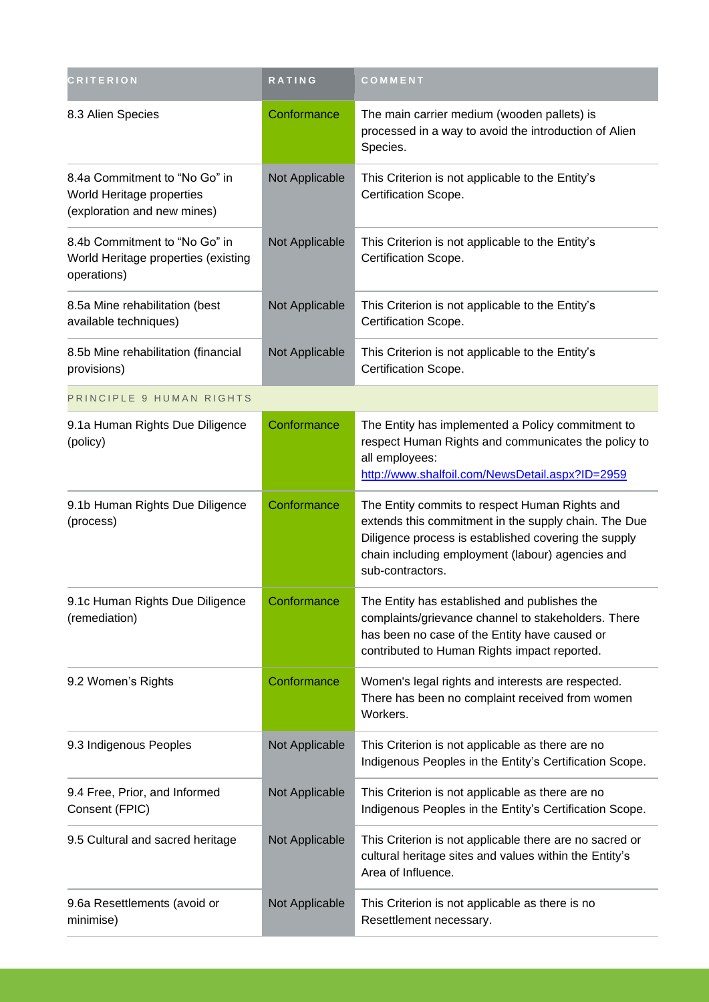| <b>CRITERION</b>                                                                          | RATING         | COMMENT                                                                                                                                                                                                                                |  |
|-------------------------------------------------------------------------------------------|----------------|----------------------------------------------------------------------------------------------------------------------------------------------------------------------------------------------------------------------------------------|--|
| 8.3 Alien Species                                                                         | Conformance    | The main carrier medium (wooden pallets) is<br>processed in a way to avoid the introduction of Alien<br>Species.                                                                                                                       |  |
| 8.4a Commitment to "No Go" in<br>World Heritage properties<br>(exploration and new mines) | Not Applicable | This Criterion is not applicable to the Entity's<br>Certification Scope.                                                                                                                                                               |  |
| 8.4b Commitment to "No Go" in<br>World Heritage properties (existing<br>operations)       | Not Applicable | This Criterion is not applicable to the Entity's<br>Certification Scope.                                                                                                                                                               |  |
| 8.5a Mine rehabilitation (best<br>available techniques)                                   | Not Applicable | This Criterion is not applicable to the Entity's<br>Certification Scope.                                                                                                                                                               |  |
| 8.5b Mine rehabilitation (financial<br>provisions)                                        | Not Applicable | This Criterion is not applicable to the Entity's<br>Certification Scope.                                                                                                                                                               |  |
| PRINCIPLE 9 HUMAN RIGHTS                                                                  |                |                                                                                                                                                                                                                                        |  |
| 9.1a Human Rights Due Diligence<br>(policy)                                               | Conformance    | The Entity has implemented a Policy commitment to<br>respect Human Rights and communicates the policy to<br>all employees:<br>http://www.shalfoil.com/NewsDetail.aspx?ID=2959                                                          |  |
| 9.1b Human Rights Due Diligence<br>(process)                                              | Conformance    | The Entity commits to respect Human Rights and<br>extends this commitment in the supply chain. The Due<br>Diligence process is established covering the supply<br>chain including employment (labour) agencies and<br>sub-contractors. |  |
| 9.1c Human Rights Due Diligence<br>(remediation)                                          | Conformance    | The Entity has established and publishes the<br>complaints/grievance channel to stakeholders. There<br>has been no case of the Entity have caused or<br>contributed to Human Rights impact reported.                                   |  |
| 9.2 Women's Rights                                                                        | Conformance    | Women's legal rights and interests are respected.<br>There has been no complaint received from women<br>Workers.                                                                                                                       |  |
| 9.3 Indigenous Peoples                                                                    | Not Applicable | This Criterion is not applicable as there are no<br>Indigenous Peoples in the Entity's Certification Scope.                                                                                                                            |  |
| 9.4 Free, Prior, and Informed<br>Consent (FPIC)                                           | Not Applicable | This Criterion is not applicable as there are no<br>Indigenous Peoples in the Entity's Certification Scope.                                                                                                                            |  |
| 9.5 Cultural and sacred heritage                                                          | Not Applicable | This Criterion is not applicable there are no sacred or<br>cultural heritage sites and values within the Entity's<br>Area of Influence.                                                                                                |  |
| 9.6a Resettlements (avoid or<br>minimise)                                                 | Not Applicable | This Criterion is not applicable as there is no<br>Resettlement necessary.                                                                                                                                                             |  |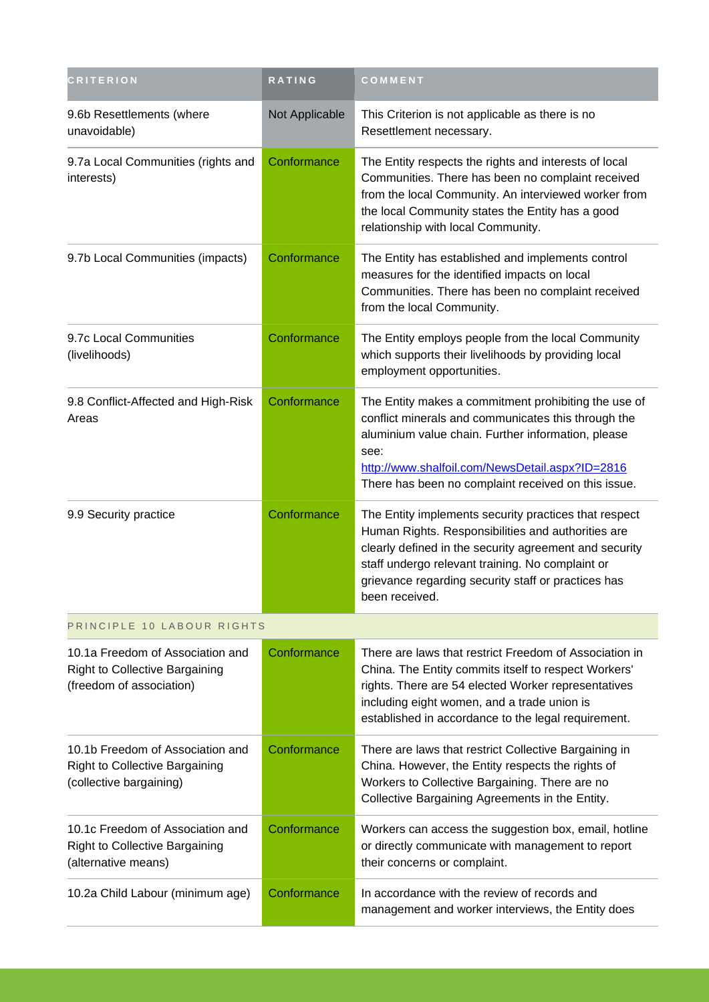| <b>CRITERION</b>                                                                                      | RATING         | COMMENT                                                                                                                                                                                                                                                                                            |  |
|-------------------------------------------------------------------------------------------------------|----------------|----------------------------------------------------------------------------------------------------------------------------------------------------------------------------------------------------------------------------------------------------------------------------------------------------|--|
| 9.6b Resettlements (where<br>unavoidable)                                                             | Not Applicable | This Criterion is not applicable as there is no<br>Resettlement necessary.                                                                                                                                                                                                                         |  |
| 9.7a Local Communities (rights and<br>interests)                                                      | Conformance    | The Entity respects the rights and interests of local<br>Communities. There has been no complaint received<br>from the local Community. An interviewed worker from<br>the local Community states the Entity has a good<br>relationship with local Community.                                       |  |
| 9.7b Local Communities (impacts)                                                                      | Conformance    | The Entity has established and implements control<br>measures for the identified impacts on local<br>Communities. There has been no complaint received<br>from the local Community.                                                                                                                |  |
| 9.7c Local Communities<br>(livelihoods)                                                               | Conformance    | The Entity employs people from the local Community<br>which supports their livelihoods by providing local<br>employment opportunities.                                                                                                                                                             |  |
| 9.8 Conflict-Affected and High-Risk<br>Areas                                                          | Conformance    | The Entity makes a commitment prohibiting the use of<br>conflict minerals and communicates this through the<br>aluminium value chain. Further information, please<br>see:<br>http://www.shalfoil.com/NewsDetail.aspx?ID=2816<br>There has been no complaint received on this issue.                |  |
| 9.9 Security practice                                                                                 | Conformance    | The Entity implements security practices that respect<br>Human Rights. Responsibilities and authorities are<br>clearly defined in the security agreement and security<br>staff undergo relevant training. No complaint or<br>grievance regarding security staff or practices has<br>been received. |  |
| PRINCIPLE 10 LABOUR RIGHTS                                                                            |                |                                                                                                                                                                                                                                                                                                    |  |
| 10.1a Freedom of Association and<br><b>Right to Collective Bargaining</b><br>(freedom of association) | Conformance    | There are laws that restrict Freedom of Association in<br>China. The Entity commits itself to respect Workers'<br>rights. There are 54 elected Worker representatives<br>including eight women, and a trade union is<br>established in accordance to the legal requirement.                        |  |
| 10.1b Freedom of Association and<br><b>Right to Collective Bargaining</b><br>(collective bargaining)  | Conformance    | There are laws that restrict Collective Bargaining in<br>China. However, the Entity respects the rights of<br>Workers to Collective Bargaining. There are no<br>Collective Bargaining Agreements in the Entity.                                                                                    |  |
| 10.1c Freedom of Association and<br><b>Right to Collective Bargaining</b><br>(alternative means)      | Conformance    | Workers can access the suggestion box, email, hotline<br>or directly communicate with management to report<br>their concerns or complaint.                                                                                                                                                         |  |
| 10.2a Child Labour (minimum age)                                                                      | Conformance    | In accordance with the review of records and<br>management and worker interviews, the Entity does                                                                                                                                                                                                  |  |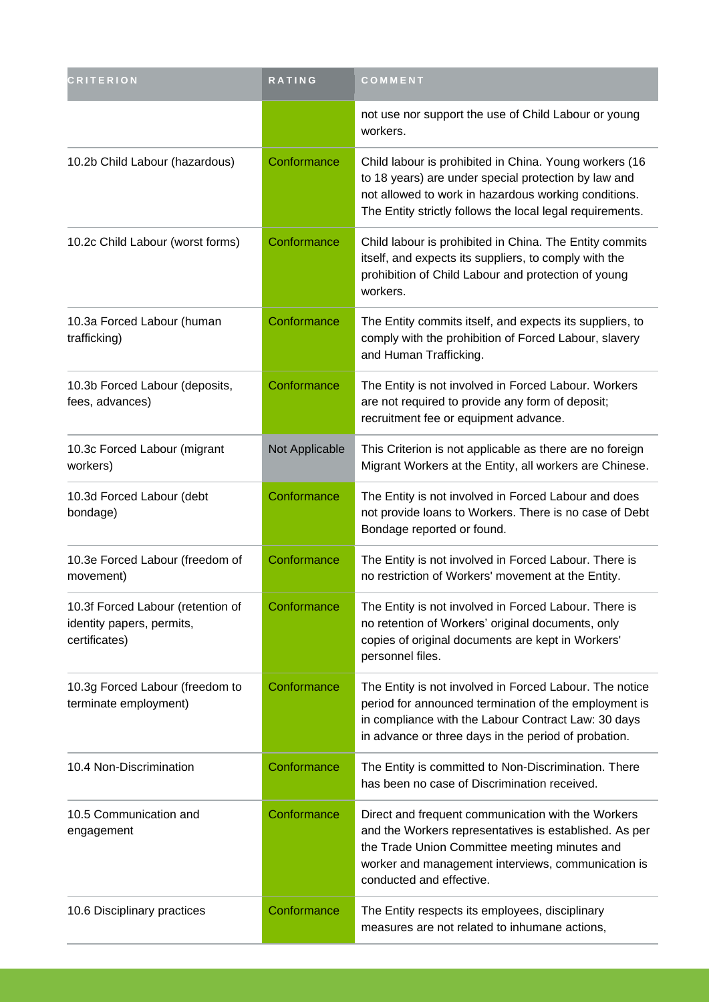| <b>CRITERION</b>                                                                | RATING         | COMMENT                                                                                                                                                                                                                                         |
|---------------------------------------------------------------------------------|----------------|-------------------------------------------------------------------------------------------------------------------------------------------------------------------------------------------------------------------------------------------------|
|                                                                                 |                | not use nor support the use of Child Labour or young<br>workers.                                                                                                                                                                                |
| 10.2b Child Labour (hazardous)                                                  | Conformance    | Child labour is prohibited in China. Young workers (16<br>to 18 years) are under special protection by law and<br>not allowed to work in hazardous working conditions.<br>The Entity strictly follows the local legal requirements.             |
| 10.2c Child Labour (worst forms)                                                | Conformance    | Child labour is prohibited in China. The Entity commits<br>itself, and expects its suppliers, to comply with the<br>prohibition of Child Labour and protection of young<br>workers.                                                             |
| 10.3a Forced Labour (human<br>trafficking)                                      | Conformance    | The Entity commits itself, and expects its suppliers, to<br>comply with the prohibition of Forced Labour, slavery<br>and Human Trafficking.                                                                                                     |
| 10.3b Forced Labour (deposits,<br>fees, advances)                               | Conformance    | The Entity is not involved in Forced Labour. Workers<br>are not required to provide any form of deposit;<br>recruitment fee or equipment advance.                                                                                               |
| 10.3c Forced Labour (migrant<br>workers)                                        | Not Applicable | This Criterion is not applicable as there are no foreign<br>Migrant Workers at the Entity, all workers are Chinese.                                                                                                                             |
| 10.3d Forced Labour (debt<br>bondage)                                           | Conformance    | The Entity is not involved in Forced Labour and does<br>not provide loans to Workers. There is no case of Debt<br>Bondage reported or found.                                                                                                    |
| 10.3e Forced Labour (freedom of<br>movement)                                    | Conformance    | The Entity is not involved in Forced Labour. There is<br>no restriction of Workers' movement at the Entity.                                                                                                                                     |
| 10.3f Forced Labour (retention of<br>identity papers, permits,<br>certificates) | Conformance    | The Entity is not involved in Forced Labour. There is<br>no retention of Workers' original documents, only<br>copies of original documents are kept in Workers'<br>personnel files.                                                             |
| 10.3g Forced Labour (freedom to<br>terminate employment)                        | Conformance    | The Entity is not involved in Forced Labour. The notice<br>period for announced termination of the employment is<br>in compliance with the Labour Contract Law: 30 days<br>in advance or three days in the period of probation.                 |
| 10.4 Non-Discrimination                                                         | Conformance    | The Entity is committed to Non-Discrimination. There<br>has been no case of Discrimination received.                                                                                                                                            |
| 10.5 Communication and<br>engagement                                            | Conformance    | Direct and frequent communication with the Workers<br>and the Workers representatives is established. As per<br>the Trade Union Committee meeting minutes and<br>worker and management interviews, communication is<br>conducted and effective. |
| 10.6 Disciplinary practices                                                     | Conformance    | The Entity respects its employees, disciplinary<br>measures are not related to inhumane actions,                                                                                                                                                |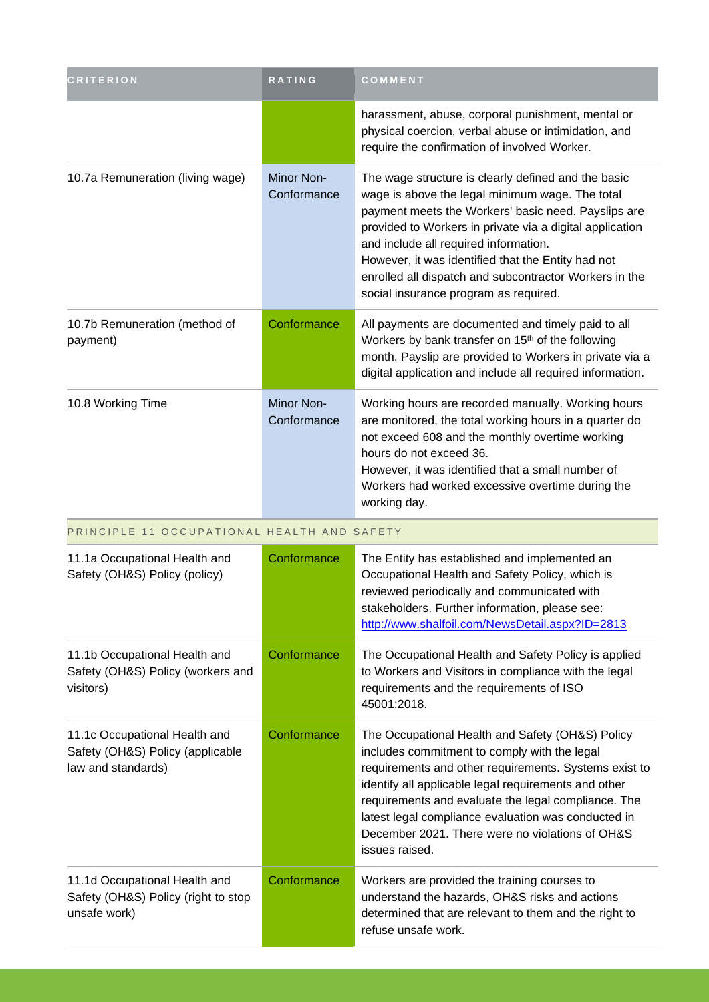| <b>CRITERION</b>                                                                        | RATING                           | COMMENT                                                                                                                                                                                                                                                                                                                                                                                                                     |
|-----------------------------------------------------------------------------------------|----------------------------------|-----------------------------------------------------------------------------------------------------------------------------------------------------------------------------------------------------------------------------------------------------------------------------------------------------------------------------------------------------------------------------------------------------------------------------|
|                                                                                         |                                  | harassment, abuse, corporal punishment, mental or<br>physical coercion, verbal abuse or intimidation, and<br>require the confirmation of involved Worker.                                                                                                                                                                                                                                                                   |
| 10.7a Remuneration (living wage)                                                        | <b>Minor Non-</b><br>Conformance | The wage structure is clearly defined and the basic<br>wage is above the legal minimum wage. The total<br>payment meets the Workers' basic need. Payslips are<br>provided to Workers in private via a digital application<br>and include all required information.<br>However, it was identified that the Entity had not<br>enrolled all dispatch and subcontractor Workers in the<br>social insurance program as required. |
| 10.7b Remuneration (method of<br>payment)                                               | Conformance                      | All payments are documented and timely paid to all<br>Workers by bank transfer on 15 <sup>th</sup> of the following<br>month. Payslip are provided to Workers in private via a<br>digital application and include all required information.                                                                                                                                                                                 |
| 10.8 Working Time                                                                       | <b>Minor Non-</b><br>Conformance | Working hours are recorded manually. Working hours<br>are monitored, the total working hours in a quarter do<br>not exceed 608 and the monthly overtime working<br>hours do not exceed 36.<br>However, it was identified that a small number of<br>Workers had worked excessive overtime during the<br>working day.                                                                                                         |
| PRINCIPLE 11 OCCUPATIONAL HEALTH AND SAFETY                                             |                                  |                                                                                                                                                                                                                                                                                                                                                                                                                             |
| 11.1a Occupational Health and<br>Safety (OH&S) Policy (policy)                          | Conformance                      | The Entity has established and implemented an<br>Occupational Health and Safety Policy, which is<br>reviewed periodically and communicated with<br>stakeholders. Further information, please see:<br>http://www.shalfoil.com/NewsDetail.aspx?ID=2813                                                                                                                                                                        |
| 11.1b Occupational Health and<br>Safety (OH&S) Policy (workers and<br>visitors)         | Conformance                      | The Occupational Health and Safety Policy is applied<br>to Workers and Visitors in compliance with the legal<br>requirements and the requirements of ISO<br>45001:2018.                                                                                                                                                                                                                                                     |
| 11.1c Occupational Health and<br>Safety (OH&S) Policy (applicable<br>law and standards) | Conformance                      | The Occupational Health and Safety (OH&S) Policy<br>includes commitment to comply with the legal<br>requirements and other requirements. Systems exist to<br>identify all applicable legal requirements and other<br>requirements and evaluate the legal compliance. The<br>latest legal compliance evaluation was conducted in<br>December 2021. There were no violations of OH&S<br>issues raised.                        |
| 11.1d Occupational Health and<br>Safety (OH&S) Policy (right to stop<br>unsafe work)    | Conformance                      | Workers are provided the training courses to<br>understand the hazards, OH&S risks and actions<br>determined that are relevant to them and the right to<br>refuse unsafe work.                                                                                                                                                                                                                                              |